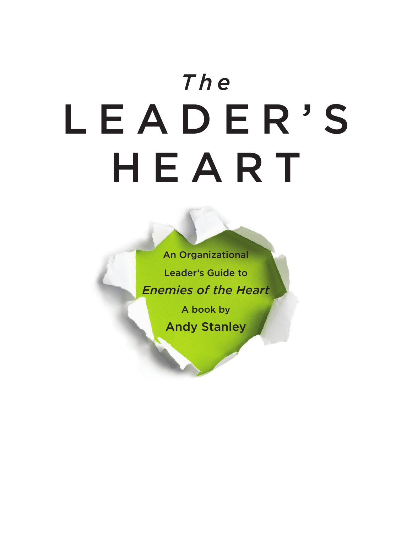# *The* LEADER'S HEART

An Organizational Leader's Guide to *Enemies of the Heart*

> A book by Andy Stanley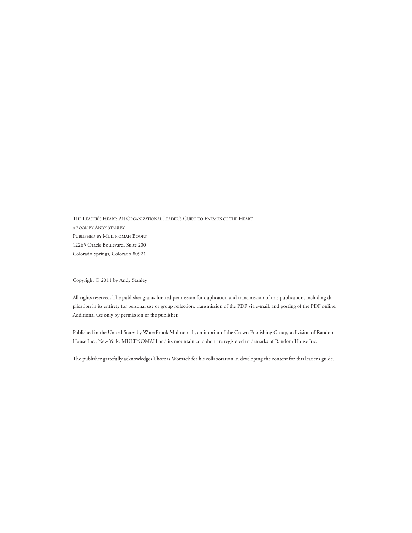THE LEADER'S HEART: AN ORGANIZATIONAL LEADER'S GUIDE TO ENEMIES OF THE HEART, A BOOK BY ANDY STANLEY PUBLISHED BY MULTNOMAH BOOKS 12265 Oracle Boulevard, Suite 200 Colorado Springs, Colorado 80921

Copyright © 2011 by Andy Stanley

All rights reserved. The publisher grants limited permission for duplication and transmission of this publication, including duplication in its entirety for personal use or group reflection, transmission of the PDF via e-mail, and posting of the PDF online. Additional use only by permission of the publisher.

Published in the United States by WaterBrook Multnomah, an imprint of the Crown Publishing Group, a division of Random House Inc., New York. MULTNOMAH and its mountain colophon are registered trademarks of Random House Inc.

The publisher gratefully acknowledges Thomas Womack for his collaboration in developing the content for this leader's guide.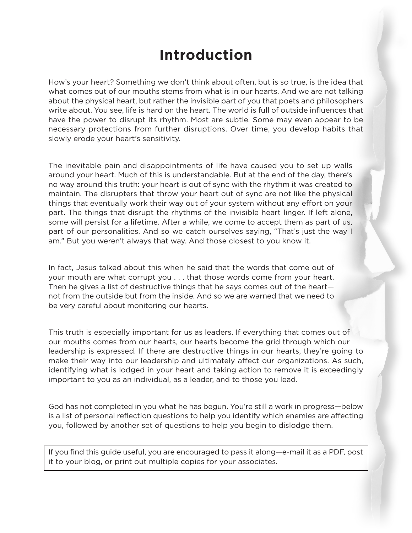## **Introduction**

How's your heart? Something we don't think about often, but is so true, is the idea that what comes out of our mouths stems from what is in our hearts. And we are not talking about the physical heart, but rather the invisible part of you that poets and philosophers write about. You see, life is hard on the heart. The world is full of outside influences that have the power to disrupt its rhythm. Most are subtle. Some may even appear to be necessary protections from further disruptions. Over time, you develop habits that slowly erode your heart's sensitivity.

The inevitable pain and disappointments of life have caused you to set up walls around your heart. Much of this is understandable. But at the end of the day, there's no way around this truth: your heart is out of sync with the rhythm it was created to maintain. The disrupters that throw your heart out of sync are not like the physical things that eventually work their way out of your system without any effort on your part. The things that disrupt the rhythms of the invisible heart linger. If left alone, some will persist for a lifetime. After a while, we come to accept them as part of us, part of our personalities. And so we catch ourselves saying, "That's just the way I am." But you weren't always that way. And those closest to you know it.

In fact, Jesus talked about this when he said that the words that come out of your mouth are what corrupt you . . . that those words come from your heart. Then he gives a list of destructive things that he says comes out of the heart not from the outside but from the inside. And so we are warned that we need to be very careful about monitoring our hearts.

This truth is especially important for us as leaders. If everything that comes out of our mouths comes from our hearts, our hearts become the grid through which our leadership is expressed. If there are destructive things in our hearts, they're going to make their way into our leadership and ultimately affect our organizations. As such, identifying what is lodged in your heart and taking action to remove it is exceedingly important to you as an individual, as a leader, and to those you lead.

God has not completed in you what he has begun. You're still a work in progress—below is a list of personal reflection questions to help you identify which enemies are affecting you, followed by another set of questions to help you begin to dislodge them.

If you find this guide useful, you are encouraged to pass it along—e-mail it as a PDF, post it to your blog, or print out multiple copies for your associates.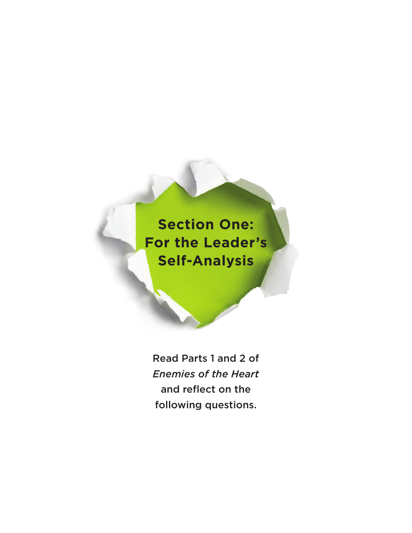# **Section One: For the Leader's Self-Analysis**

Read Parts 1 and 2 of *Enemies of the Heart* and reflect on the following questions.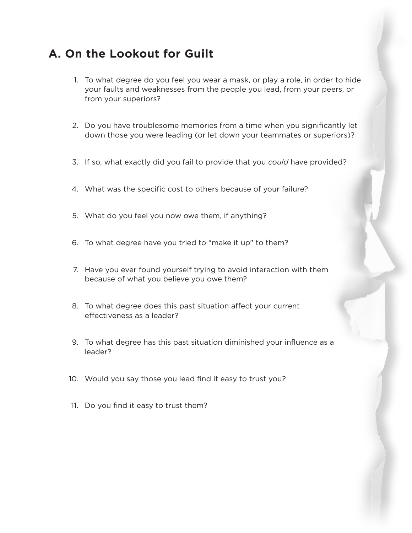### **A. On the Lookout for Guilt**

- 1. To what degree do you feel you wear a mask, or play a role, in order to hide your faults and weaknesses from the people you lead, from your peers, or from your superiors?
- 2. Do you have troublesome memories from a time when you significantly let down those you were leading (or let down your teammates or superiors)?
- 3. If so, what exactly did you fail to provide that you *could* have provided?
- 4. What was the specific cost to others because of your failure?
- 5. What do you feel you now owe them, if anything?
- 6. To what degree have you tried to "make it up" to them?
- 7. Have you ever found yourself trying to avoid interaction with them because of what you believe you owe them?
- 8. To what degree does this past situation affect your current effectiveness as a leader?
- 9. To what degree has this past situation diminished your influence as a leader?
- 10. Would you say those you lead find it easy to trust you?
- 11. Do you find it easy to trust them?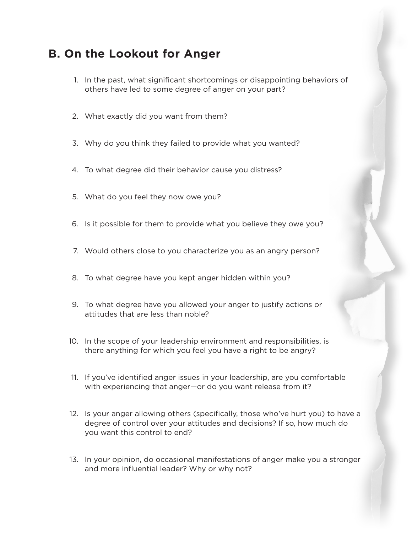#### **B. On the Lookout for Anger**

- 1. In the past, what significant shortcomings or disappointing behaviors of others have led to some degree of anger on your part?
- 2. What exactly did you want from them?
- 3. Why do you think they failed to provide what you wanted?
- 4. To what degree did their behavior cause you distress?
- 5. What do you feel they now owe you?
- 6. Is it possible for them to provide what you believe they owe you?
- 7. Would others close to you characterize you as an angry person?
- 8. To what degree have you kept anger hidden within you?
- 9. To what degree have you allowed your anger to justify actions or attitudes that are less than noble?
- 10. In the scope of your leadership environment and responsibilities, is there anything for which you feel you have a right to be angry?
- 11. If you've identified anger issues in your leadership, are you comfortable with experiencing that anger—or do you want release from it?
- 12. Is your anger allowing others (specifically, those who've hurt you) to have a degree of control over your attitudes and decisions? If so, how much do you want this control to end?
- 13. In your opinion, do occasional manifestations of anger make you a stronger and more influential leader? Why or why not?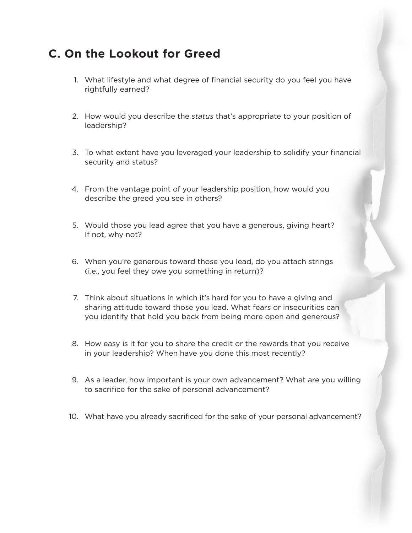### **C. On the Lookout for Greed**

- 1. What lifestyle and what degree of financial security do you feel you have rightfully earned?
- 2. How would you describe the *status* that's appropriate to your position of leadership?
- 3. To what extent have you leveraged your leadership to solidify your financial security and status?
- 4. From the vantage point of your leadership position, how would you describe the greed you see in others?
- 5. Would those you lead agree that you have a generous, giving heart? If not, why not?
- 6. When you're generous toward those you lead, do you attach strings (i.e., you feel they owe you something in return)?
- 7. Think about situations in which it's hard for you to have a giving and sharing attitude toward those you lead. What fears or insecurities can you identify that hold you back from being more open and generous?
- 8. How easy is it for you to share the credit or the rewards that you receive in your leadership? When have you done this most recently?
- 9. As a leader, how important is your own advancement? What are you willing to sacrifice for the sake of personal advancement?
- 10. What have you already sacrificed for the sake of your personal advancement?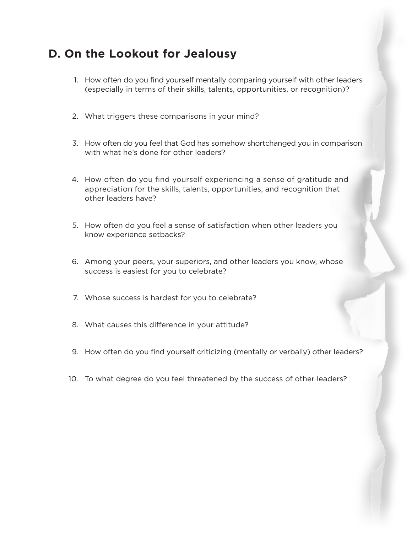### **D. On the Lookout for Jealousy**

- 1. How often do you find yourself mentally comparing yourself with other leaders (especially in terms of their skills, talents, opportunities, or recognition)?
- 2. What triggers these comparisons in your mind?
- 3. How often do you feel that God has somehow shortchanged you in comparison with what he's done for other leaders?
- 4. How often do you find yourself experiencing a sense of gratitude and appreciation for the skills, talents, opportunities, and recognition that other leaders have?
- 5. How often do you feel a sense of satisfaction when other leaders you know experience setbacks?
- 6. Among your peers, your superiors, and other leaders you know, whose success is easiest for you to celebrate?
- 7. Whose success is hardest for you to celebrate?
- 8. What causes this difference in your attitude?
- 9. How often do you find yourself criticizing (mentally or verbally) other leaders?
- 10. To what degree do you feel threatened by the success of other leaders?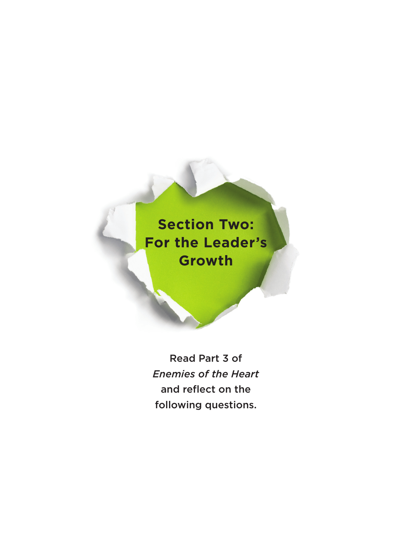# **Section Two: For the Leader's Growth**

Read Part 3 of *Enemies of the Heart* and reflect on the following questions.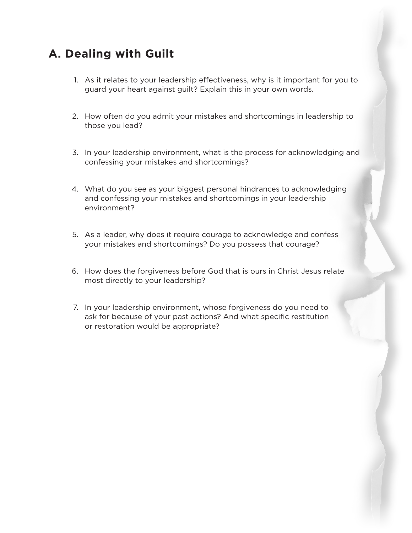## **A. Dealing with Guilt**

- 1. As it relates to your leadership effectiveness, why is it important for you to guard your heart against guilt? Explain this in your own words.
- 2. How often do you admit your mistakes and shortcomings in leadership to those you lead?
- 3. In your leadership environment, what is the process for acknowledging and confessing your mistakes and shortcomings?
- 4. What do you see as your biggest personal hindrances to acknowledging and confessing your mistakes and shortcomings in your leadership environment?
- 5. As a leader, why does it require courage to acknowledge and confess your mistakes and shortcomings? Do you possess that courage?
- 6. How does the forgiveness before God that is ours in Christ Jesus relate most directly to your leadership?
- 7. In your leadership environment, whose forgiveness do you need to ask for because of your past actions? And what specific restitution or restoration would be appropriate?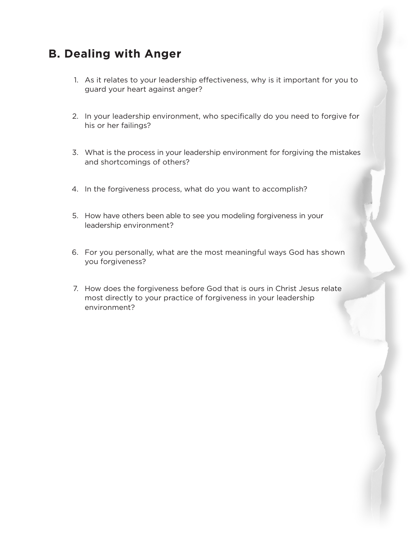#### **B. Dealing with Anger**

- 1. As it relates to your leadership effectiveness, why is it important for you to guard your heart against anger?
- 2. In your leadership environment, who specifically do you need to forgive for his or her failings?
- 3. What is the process in your leadership environment for forgiving the mistakes and shortcomings of others?
- 4. In the forgiveness process, what do you want to accomplish?
- 5. How have others been able to see you modeling forgiveness in your leadership environment?
- 6. For you personally, what are the most meaningful ways God has shown you forgiveness?
- 7. How does the forgiveness before God that is ours in Christ Jesus relate most directly to your practice of forgiveness in your leadership environment?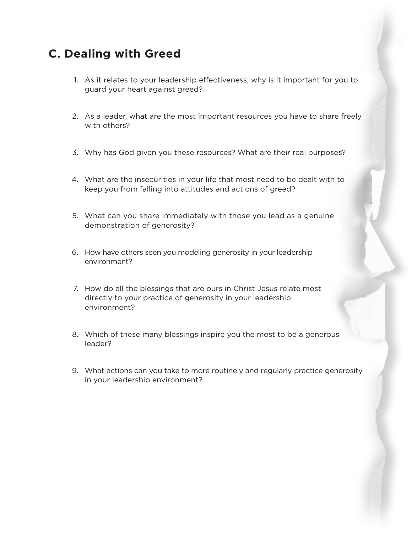### **C. Dealing with Greed**

- 1. As it relates to your leadership effectiveness, why is it important for you to guard your heart against greed?
- 2. As a leader, what are the most important resources you have to share freely with others?
- 3. Why has God given you these resources? What are their real purposes?
- 4. What are the insecurities in your life that most need to be dealt with to keep you from falling into attitudes and actions of greed?
- 5. What can you share immediately with those you lead as a genuine demonstration of generosity?
- 6. How have others seen you modeling generosity in your leadership environment?
- 7. How do all the blessings that are ours in Christ Jesus relate most directly to your practice of generosity in your leadership environment?
- 8. Which of these many blessings inspire you the most to be a generous leader?
- 9. What actions can you take to more routinely and regularly practice generosity in your leadership environment?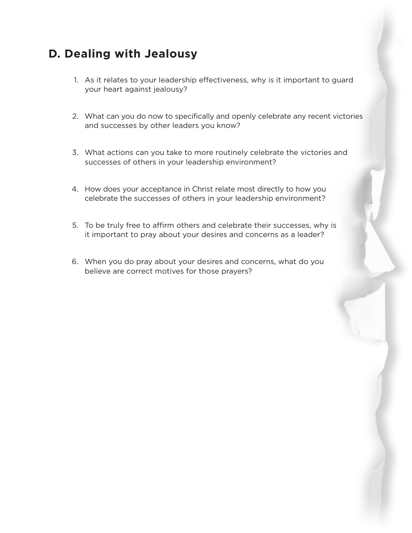### **D. Dealing with Jealousy**

- 1. As it relates to your leadership effectiveness, why is it important to guard your heart against jealousy?
- 2. What can you do now to specifically and openly celebrate any recent victories and successes by other leaders you know?
- 3. What actions can you take to more routinely celebrate the victories and successes of others in your leadership environment?
- 4. How does your acceptance in Christ relate most directly to how you celebrate the successes of others in your leadership environment?
- 5. To be truly free to affirm others and celebrate their successes, why is it important to pray about your desires and concerns as a leader?
- 6. When you do pray about your desires and concerns, what do you believe are correct motives for those prayers?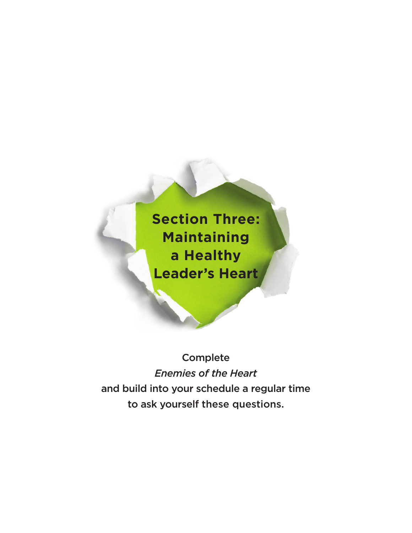**Section Three: Maintaining a Healthy Leader's Heart**

Complete *Enemies of the Heart* and build into your schedule a regular time to ask yourself these questions.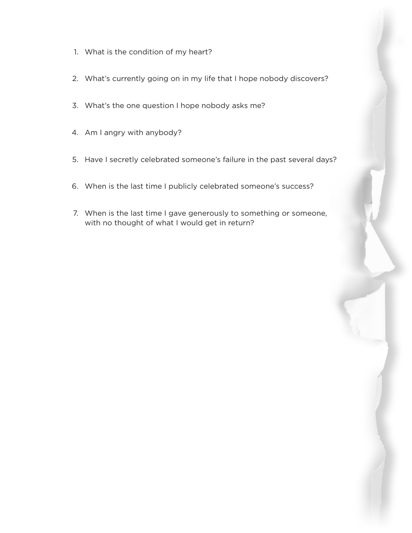- 1. What is the condition of my heart?
- 2. What's currently going on in my life that I hope nobody discovers?
- 3. What's the one question I hope nobody asks me?
- 4. Am I angry with anybody?
- 5. Have I secretly celebrated someone's failure in the past several days?
- 6. When is the last time I publicly celebrated someone's success?
- 7. When is the last time I gave generously to something or someone, with no thought of what I would get in return?